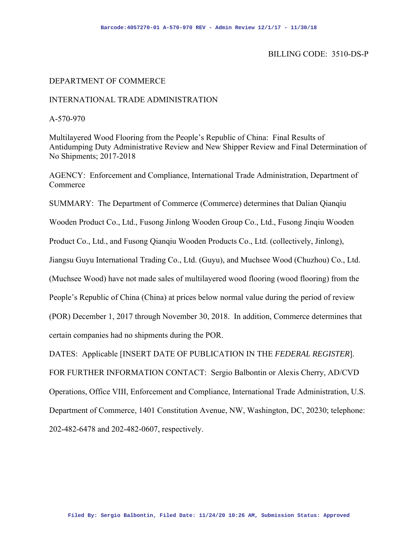## BILLING CODE: 3510-DS-P

#### DEPARTMENT OF COMMERCE

### INTERNATIONAL TRADE ADMINISTRATION

A-570-970

Multilayered Wood Flooring from the People's Republic of China: Final Results of Antidumping Duty Administrative Review and New Shipper Review and Final Determination of No Shipments; 2017-2018

AGENCY: Enforcement and Compliance, International Trade Administration, Department of Commerce

SUMMARY: The Department of Commerce (Commerce) determines that Dalian Qianqiu

Wooden Product Co., Ltd., Fusong Jinlong Wooden Group Co., Ltd., Fusong Jinqiu Wooden

Product Co., Ltd., and Fusong Qianqiu Wooden Products Co., Ltd. (collectively, Jinlong),

Jiangsu Guyu International Trading Co., Ltd. (Guyu), and Muchsee Wood (Chuzhou) Co., Ltd.

(Muchsee Wood) have not made sales of multilayered wood flooring (wood flooring) from the

People's Republic of China (China) at prices below normal value during the period of review

(POR) December 1, 2017 through November 30, 2018. In addition, Commerce determines that

certain companies had no shipments during the POR.

DATES: Applicable [INSERT DATE OF PUBLICATION IN THE *FEDERAL REGISTER*].

FOR FURTHER INFORMATION CONTACT: Sergio Balbontin or Alexis Cherry, AD/CVD Operations, Office VIII, Enforcement and Compliance, International Trade Administration, U.S. Department of Commerce, 1401 Constitution Avenue, NW, Washington, DC, 20230; telephone: 202-482-6478 and 202-482-0607, respectively.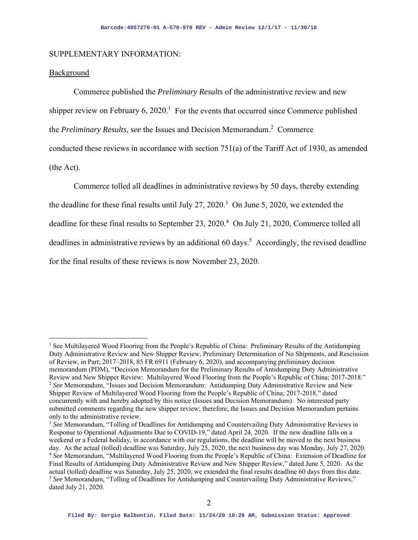#### SUPPLEMENTARY INFORMATION:

## Background

Commerce published the *Preliminary Results* of the administrative review and new shipper review on February 6, 2020.<sup>1</sup> For the events that occurred since Commerce published the *Preliminary Results*, *see* the Issues and Decision Memorandum.<sup>2</sup> Commerce conducted these reviews in accordance with section 751(a) of the Tariff Act of 1930, as amended (the Act).

Commerce tolled all deadlines in administrative reviews by 50 days, thereby extending the deadline for these final results until July 27, 2020.<sup>3</sup> On June 5, 2020, we extended the deadline for these final results to September 23, 2020.<sup>4</sup> On July 21, 2020, Commerce tolled all deadlines in administrative reviews by an additional 60 days.<sup>5</sup> Accordingly, the revised deadline for the final results of these reviews is now November 23, 2020.

<sup>&</sup>lt;sup>1</sup> See Multilayered Wood Flooring from the People's Republic of China: Preliminary Results of the Antidumping Duty Administrative Review and New Shipper Review, Preliminary Determination of No Shipments, and Rescission of Review, in Part; 2017–2018, 85 FR 6911 (February 6, 2020), and accompanying preliminary decision memorandum (PDM), "Decision Memorandum for the Preliminary Results of Antidumping Duty Administrative Review and New Shipper Review: Multilayered Wood Flooring from the People's Republic of China; 2017-2018." 2 *See* Memorandum, "Issues and Decision Memorandum: Antidumping Duty Administrative Review and New Shipper Review of Multilayered Wood Flooring from the People's Republic of China; 2017-2018," dated concurrently with and hereby adopted by this notice (Issues and Decision Memorandum). No interested party submitted comments regarding the new shipper review; therefore, the Issues and Decision Memorandum pertains only to the administrative review.

<sup>&</sup>lt;sup>3</sup> See Memorandum, "Tolling of Deadlines for Antidumping and Countervailing Duty Administrative Reviews in Response to Operational Adjustments Due to COVID-19," dated April 24, 2020. If the new deadline falls on a weekend or a Federal holiday, in accordance with our regulations, the deadline will be moved to the next business day. As the actual (tolled) deadline was Saturday, July 25, 2020, the next business day was Monday, July 27, <sup>4</sup> See Memorandum, "Multilayered Wood Flooring from the People's Republic of China: Extension of Deadline for Final Results of Antidumping Duty Administrative Review and New Shipper Review," dated June 5, 2020. As the actual (tolled) deadline was Saturday, July 25, 2020, we extended the final results deadline 60 days from this date.<br><sup>5</sup> See Memorandum, "Tolling of Deadlines for Antidumping and Countervailing Duty Administrative Reviews, dated July 21, 2020.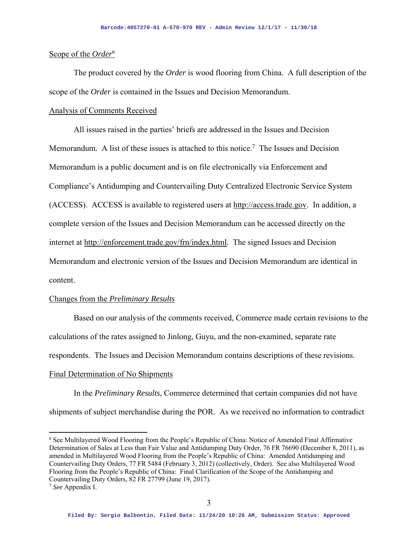### Scope of the *Order*<sup>6</sup>

The product covered by the *Order* is wood flooring from China. A full description of the scope of the *Order* is contained in the Issues and Decision Memorandum.

## Analysis of Comments Received

All issues raised in the parties' briefs are addressed in the Issues and Decision Memorandum. A list of these issues is attached to this notice.<sup>7</sup> The Issues and Decision Memorandum is a public document and is on file electronically via Enforcement and Compliance's Antidumping and Countervailing Duty Centralized Electronic Service System (ACCESS). ACCESS is available to registered users at http://access.trade.gov. In addition, a complete version of the Issues and Decision Memorandum can be accessed directly on the internet at http://enforcement.trade.gov/frn/index.html. The signed Issues and Decision Memorandum and electronic version of the Issues and Decision Memorandum are identical in content.

#### Changes from the *Preliminary Results*

Based on our analysis of the comments received, Commerce made certain revisions to the calculations of the rates assigned to Jinlong, Guyu, and the non-examined, separate rate respondents. The Issues and Decision Memorandum contains descriptions of these revisions.

## Final Determination of No Shipments

 In the *Preliminary Results*, Commerce determined that certain companies did not have shipments of subject merchandise during the POR. As we received no information to contradict

<sup>6</sup> See Multilayered Wood Flooring from the People's Republic of China: Notice of Amended Final Affirmative Determination of Sales at Less than Fair Value and Antidumping Duty Order, 76 FR 76690 (December 8, 2011), as amended in Multilayered Wood Flooring from the People's Republic of China: Amended Antidumping and Countervailing Duty Orders, 77 FR 5484 (February 3, 2012) (collectively, Order). See also Multilayered Wood Flooring from the People's Republic of China: Final Clarification of the Scope of the Antidumping and Countervailing Duty Orders, 82 FR 27799 (June 19, 2017). 7 *See* Appendix I.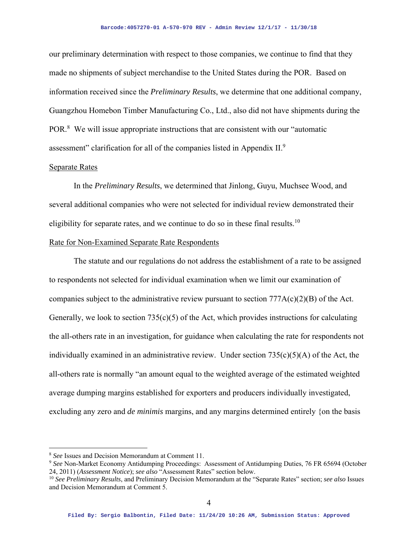our preliminary determination with respect to those companies, we continue to find that they made no shipments of subject merchandise to the United States during the POR. Based on information received since the *Preliminary Results*, we determine that one additional company, Guangzhou Homebon Timber Manufacturing Co., Ltd., also did not have shipments during the POR.<sup>8</sup> We will issue appropriate instructions that are consistent with our "automatic assessment" clarification for all of the companies listed in Appendix  $II.<sup>9</sup>$ 

#### Separate Rates

 In the *Preliminary Results*, we determined that Jinlong, Guyu, Muchsee Wood, and several additional companies who were not selected for individual review demonstrated their eligibility for separate rates, and we continue to do so in these final results.<sup>10</sup>

#### Rate for Non-Examined Separate Rate Respondents

The statute and our regulations do not address the establishment of a rate to be assigned to respondents not selected for individual examination when we limit our examination of companies subject to the administrative review pursuant to section  $777A(c)(2)(B)$  of the Act. Generally, we look to section  $735(c)(5)$  of the Act, which provides instructions for calculating the all-others rate in an investigation, for guidance when calculating the rate for respondents not individually examined in an administrative review. Under section  $735(c)(5)(A)$  of the Act, the all-others rate is normally "an amount equal to the weighted average of the estimated weighted average dumping margins established for exporters and producers individually investigated, excluding any zero and *de minimis* margins, and any margins determined entirely {on the basis

<sup>8</sup> *See* Issues and Decision Memorandum at Comment 11.

<sup>9</sup> *See* Non-Market Economy Antidumping Proceedings: Assessment of Antidumping Duties, 76 FR 65694 (October 24, 2011) (*Assessment Notice*); *see also* "Assessment Rates" section below.

<sup>10</sup> *See Preliminary Results*, and Preliminary Decision Memorandum at the "Separate Rates" section; *see also* Issues and Decision Memorandum at Comment 5.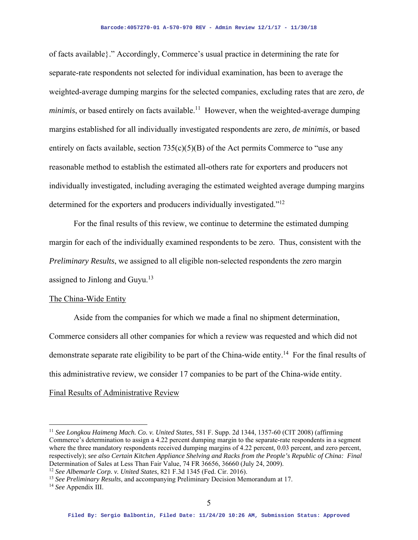of facts available}." Accordingly, Commerce's usual practice in determining the rate for separate-rate respondents not selected for individual examination, has been to average the weighted-average dumping margins for the selected companies, excluding rates that are zero, *de minimis*, or based entirely on facts available.<sup>11</sup> However, when the weighted-average dumping margins established for all individually investigated respondents are zero, *de minimis*, or based entirely on facts available, section  $735(c)(5)(B)$  of the Act permits Commerce to "use any reasonable method to establish the estimated all-others rate for exporters and producers not individually investigated, including averaging the estimated weighted average dumping margins determined for the exporters and producers individually investigated."12

For the final results of this review, we continue to determine the estimated dumping margin for each of the individually examined respondents to be zero. Thus, consistent with the *Preliminary Results*, we assigned to all eligible non-selected respondents the zero margin assigned to Jinlong and Guyu. $13$ 

#### The China-Wide Entity

 Aside from the companies for which we made a final no shipment determination, Commerce considers all other companies for which a review was requested and which did not demonstrate separate rate eligibility to be part of the China-wide entity.<sup>14</sup> For the final results of this administrative review, we consider 17 companies to be part of the China-wide entity.

## Final Results of Administrative Review

<sup>11</sup> *See Longkou Haimeng Mach. Co. v. United States*, 581 F. Supp. 2d 1344, 1357-60 (CIT 2008) (affirming Commerce's determination to assign a 4.22 percent dumping margin to the separate-rate respondents in a segment where the three mandatory respondents received dumping margins of 4.22 percent, 0.03 percent, and zero percent, respectively); *see also Certain Kitchen Appliance Shelving and Racks from the People's Republic of China: Final*  Determination of Sales at Less Than Fair Value, 74 FR 36656, 36660 (July 24, 2009). 12 *See Albemarle Corp. v. United States*, 821 F.3d 1345 (Fed. Cir. 2016).

<sup>&</sup>lt;sup>13</sup> *See Preliminary Results*, and accompanying Preliminary Decision Memorandum at 17.<sup>14</sup> *See Appendix III.*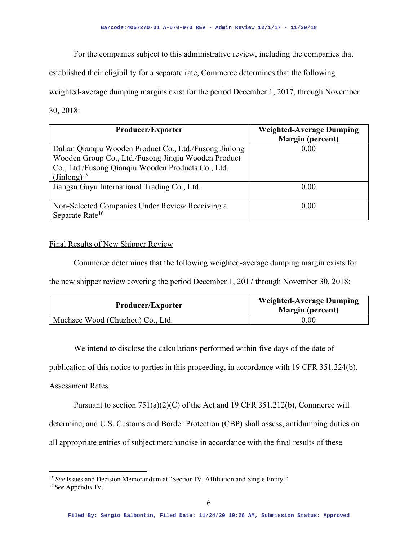For the companies subject to this administrative review, including the companies that

established their eligibility for a separate rate, Commerce determines that the following

weighted-average dumping margins exist for the period December 1, 2017, through November

30, 2018:

| <b>Producer/Exporter</b>                                                                                                                                                                | <b>Weighted-Average Dumping</b><br><b>Margin</b> (percent) |
|-----------------------------------------------------------------------------------------------------------------------------------------------------------------------------------------|------------------------------------------------------------|
| Dalian Qianqiu Wooden Product Co., Ltd./Fusong Jinlong<br>Wooden Group Co., Ltd./Fusong Jinqiu Wooden Product<br>Co., Ltd./Fusong Qianqiu Wooden Products Co., Ltd.<br>$(Jinlong)^{15}$ | 0.00                                                       |
| Jiangsu Guyu International Trading Co., Ltd.                                                                                                                                            | 0.00                                                       |
| Non-Selected Companies Under Review Receiving a<br>Separate Rate <sup>16</sup>                                                                                                          | 0.00                                                       |

## Final Results of New Shipper Review

Commerce determines that the following weighted-average dumping margin exists for

the new shipper review covering the period December 1, 2017 through November 30, 2018:

| <b>Producer/Exporter</b>         | <b>Weighted-Average Dumping</b><br><b>Margin</b> (percent) |
|----------------------------------|------------------------------------------------------------|
| Muchsee Wood (Chuzhou) Co., Ltd. | 0.00                                                       |

We intend to disclose the calculations performed within five days of the date of

publication of this notice to parties in this proceeding, in accordance with 19 CFR 351.224(b).

## Assessment Rates

Pursuant to section 751(a)(2)(C) of the Act and 19 CFR 351.212(b), Commerce will determine, and U.S. Customs and Border Protection (CBP) shall assess, antidumping duties on all appropriate entries of subject merchandise in accordance with the final results of these

<sup>&</sup>lt;sup>15</sup> See Issues and Decision Memorandum at "Section IV. Affiliation and Single Entity."

<sup>16</sup>*See* Appendix IV.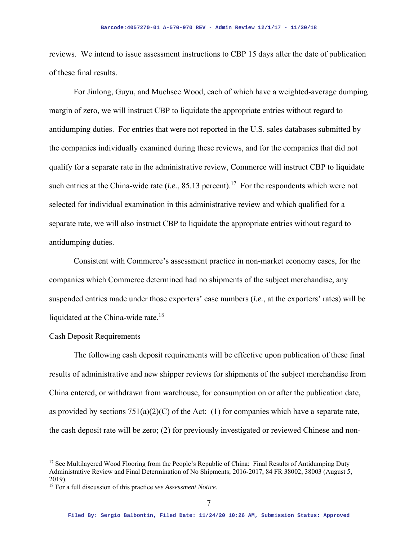reviews. We intend to issue assessment instructions to CBP 15 days after the date of publication of these final results.

For Jinlong, Guyu, and Muchsee Wood, each of which have a weighted-average dumping margin of zero, we will instruct CBP to liquidate the appropriate entries without regard to antidumping duties. For entries that were not reported in the U.S. sales databases submitted by the companies individually examined during these reviews, and for the companies that did not qualify for a separate rate in the administrative review, Commerce will instruct CBP to liquidate such entries at the China-wide rate  $(i.e., 85.13$  percent).<sup>17</sup> For the respondents which were not selected for individual examination in this administrative review and which qualified for a separate rate, we will also instruct CBP to liquidate the appropriate entries without regard to antidumping duties.

Consistent with Commerce's assessment practice in non-market economy cases, for the companies which Commerce determined had no shipments of the subject merchandise, any suspended entries made under those exporters' case numbers (*i.e.*, at the exporters' rates) will be liquidated at the China-wide rate.<sup>18</sup>

#### Cash Deposit Requirements

The following cash deposit requirements will be effective upon publication of these final results of administrative and new shipper reviews for shipments of the subject merchandise from China entered, or withdrawn from warehouse, for consumption on or after the publication date, as provided by sections  $751(a)(2)(C)$  of the Act: (1) for companies which have a separate rate, the cash deposit rate will be zero; (2) for previously investigated or reviewed Chinese and non-

<sup>&</sup>lt;sup>17</sup> See Multilayered Wood Flooring from the People's Republic of China: Final Results of Antidumping Duty Administrative Review and Final Determination of No Shipments; 2016-2017, 84 FR 38002, 38003 (August 5, 2019).

<sup>18</sup> For a full discussion of this practice *see Assessment Notice*.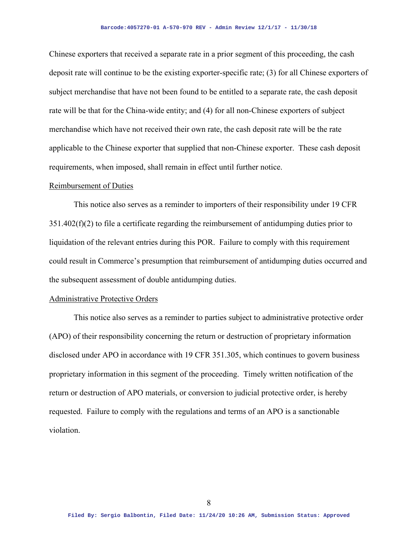Chinese exporters that received a separate rate in a prior segment of this proceeding, the cash deposit rate will continue to be the existing exporter-specific rate; (3) for all Chinese exporters of subject merchandise that have not been found to be entitled to a separate rate, the cash deposit rate will be that for the China-wide entity; and (4) for all non-Chinese exporters of subject merchandise which have not received their own rate, the cash deposit rate will be the rate applicable to the Chinese exporter that supplied that non-Chinese exporter. These cash deposit requirements, when imposed, shall remain in effect until further notice.

#### Reimbursement of Duties

 This notice also serves as a reminder to importers of their responsibility under 19 CFR  $351.402(f)(2)$  to file a certificate regarding the reimbursement of antidumping duties prior to liquidation of the relevant entries during this POR. Failure to comply with this requirement could result in Commerce's presumption that reimbursement of antidumping duties occurred and the subsequent assessment of double antidumping duties.

#### Administrative Protective Orders

 This notice also serves as a reminder to parties subject to administrative protective order (APO) of their responsibility concerning the return or destruction of proprietary information disclosed under APO in accordance with 19 CFR 351.305, which continues to govern business proprietary information in this segment of the proceeding. Timely written notification of the return or destruction of APO materials, or conversion to judicial protective order, is hereby requested. Failure to comply with the regulations and terms of an APO is a sanctionable violation.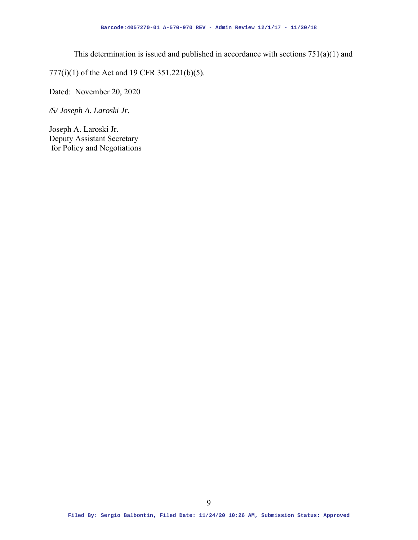This determination is issued and published in accordance with sections  $751(a)(1)$  and

777(i)(1) of the Act and 19 CFR 351.221(b)(5).

Dated: November 20, 2020

*/S/ Joseph A. Laroski Jr.* 

Joseph A. Laroski Jr. Deputy Assistant Secretary for Policy and Negotiations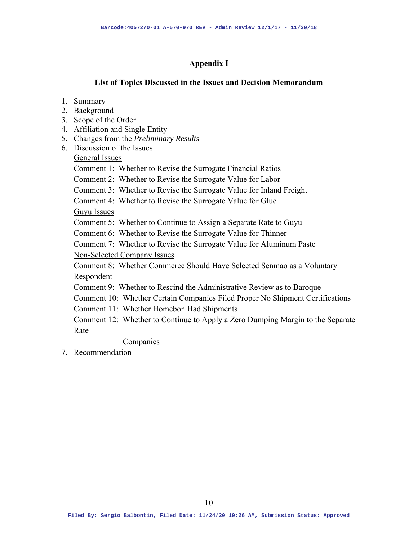## **Appendix I**

## **List of Topics Discussed in the Issues and Decision Memorandum**

- 1. Summary
- 2. Background
- 3. Scope of the Order
- 4. Affiliation and Single Entity
- 5. Changes from the *Preliminary Results*
- 6. Discussion of the Issues
	- General Issues

Comment 1: Whether to Revise the Surrogate Financial Ratios

Comment 2: Whether to Revise the Surrogate Value for Labor

Comment 3: Whether to Revise the Surrogate Value for Inland Freight

Comment 4: Whether to Revise the Surrogate Value for Glue

Guyu Issues

Comment 5: Whether to Continue to Assign a Separate Rate to Guyu

Comment 6: Whether to Revise the Surrogate Value for Thinner

Comment 7: Whether to Revise the Surrogate Value for Aluminum Paste Non-Selected Company Issues

Comment 8: Whether Commerce Should Have Selected Senmao as a Voluntary Respondent

Comment 9: Whether to Rescind the Administrative Review as to Baroque

Comment 10: Whether Certain Companies Filed Proper No Shipment Certifications

Comment 11: Whether Homebon Had Shipments

Comment 12: Whether to Continue to Apply a Zero Dumping Margin to the Separate Rate

Companies

7. Recommendation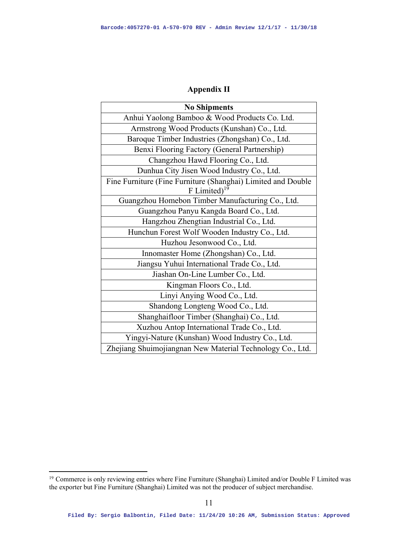# **Appendix II**

| <b>No Shipments</b>                                                            |  |
|--------------------------------------------------------------------------------|--|
| Anhui Yaolong Bamboo & Wood Products Co. Ltd.                                  |  |
| Armstrong Wood Products (Kunshan) Co., Ltd.                                    |  |
| Baroque Timber Industries (Zhongshan) Co., Ltd.                                |  |
| Benxi Flooring Factory (General Partnership)                                   |  |
| Changzhou Hawd Flooring Co., Ltd.                                              |  |
| Dunhua City Jisen Wood Industry Co., Ltd.                                      |  |
| Fine Furniture (Fine Furniture (Shanghai) Limited and Double<br>F Limited $19$ |  |
| Guangzhou Homebon Timber Manufacturing Co., Ltd.                               |  |
| Guangzhou Panyu Kangda Board Co., Ltd.                                         |  |
| Hangzhou Zhengtian Industrial Co., Ltd.                                        |  |
| Hunchun Forest Wolf Wooden Industry Co., Ltd.                                  |  |
| Huzhou Jesonwood Co., Ltd.                                                     |  |
| Innomaster Home (Zhongshan) Co., Ltd.                                          |  |
| Jiangsu Yuhui International Trade Co., Ltd.                                    |  |
| Jiashan On-Line Lumber Co., Ltd.                                               |  |
| Kingman Floors Co., Ltd.                                                       |  |
| Linyi Anying Wood Co., Ltd.                                                    |  |
| Shandong Longteng Wood Co., Ltd.                                               |  |
| Shanghaifloor Timber (Shanghai) Co., Ltd.                                      |  |
| Xuzhou Antop International Trade Co., Ltd.                                     |  |
| Yingyi-Nature (Kunshan) Wood Industry Co., Ltd.                                |  |
| Zhejiang Shuimojiangnan New Material Technology Co., Ltd.                      |  |

<sup>&</sup>lt;sup>19</sup> Commerce is only reviewing entries where Fine Furniture (Shanghai) Limited and/or Double F Limited was the exporter but Fine Furniture (Shanghai) Limited was not the producer of subject merchandise.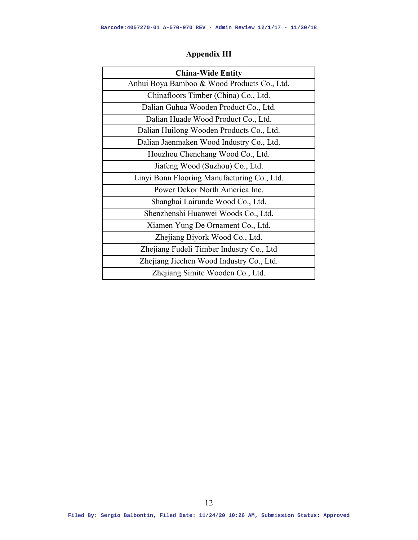| <b>China-Wide Entity</b>                    |
|---------------------------------------------|
| Anhui Boya Bamboo & Wood Products Co., Ltd. |
| Chinafloors Timber (China) Co., Ltd.        |
| Dalian Guhua Wooden Product Co., Ltd.       |
| Dalian Huade Wood Product Co., Ltd.         |
| Dalian Huilong Wooden Products Co., Ltd.    |
| Dalian Jaenmaken Wood Industry Co., Ltd.    |
| Houzhou Chenchang Wood Co., Ltd.            |
| Jiafeng Wood (Suzhou) Co., Ltd.             |
| Linyi Bonn Flooring Manufacturing Co., Ltd. |
| Power Dekor North America Inc.              |
| Shanghai Lairunde Wood Co., Ltd.            |
| Shenzhenshi Huanwei Woods Co., Ltd.         |
| Xiamen Yung De Ornament Co., Ltd.           |
| Zhejiang Biyork Wood Co., Ltd.              |
| Zhejiang Fudeli Timber Industry Co., Ltd    |
| Zhejiang Jiechen Wood Industry Co., Ltd.    |
| Zhejiang Simite Wooden Co., Ltd.            |

# **Appendix III**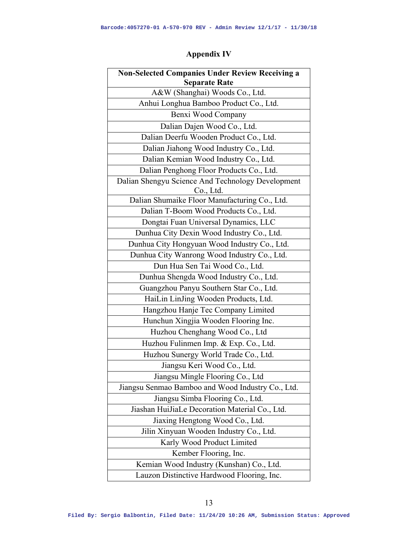# **Appendix IV**

| <b>Non-Selected Companies Under Review Receiving a</b> |  |
|--------------------------------------------------------|--|
| Separate Rate                                          |  |
| A&W (Shanghai) Woods Co., Ltd.                         |  |
| Anhui Longhua Bamboo Product Co., Ltd.                 |  |
| Benxi Wood Company                                     |  |
| Dalian Dajen Wood Co., Ltd.                            |  |
| Dalian Deerfu Wooden Product Co., Ltd.                 |  |
| Dalian Jiahong Wood Industry Co., Ltd.                 |  |
| Dalian Kemian Wood Industry Co., Ltd.                  |  |
| Dalian Penghong Floor Products Co., Ltd.               |  |
| Dalian Shengyu Science And Technology Development      |  |
| Co., Ltd.                                              |  |
| Dalian Shumaike Floor Manufacturing Co., Ltd.          |  |
| Dalian T-Boom Wood Products Co., Ltd.                  |  |
| Dongtai Fuan Universal Dynamics, LLC                   |  |
| Dunhua City Dexin Wood Industry Co., Ltd.              |  |
| Dunhua City Hongyuan Wood Industry Co., Ltd.           |  |
| Dunhua City Wanrong Wood Industry Co., Ltd.            |  |
| Dun Hua Sen Tai Wood Co., Ltd.                         |  |
| Dunhua Shengda Wood Industry Co., Ltd.                 |  |
| Guangzhou Panyu Southern Star Co., Ltd.                |  |
| HaiLin LinJing Wooden Products, Ltd.                   |  |
| Hangzhou Hanje Tec Company Limited                     |  |
| Hunchun Xingjia Wooden Flooring Inc.                   |  |
| Huzhou Chenghang Wood Co., Ltd                         |  |
| Huzhou Fulinmen Imp. & Exp. Co., Ltd.                  |  |
| Huzhou Sunergy World Trade Co., Ltd.                   |  |
| Jiangsu Keri Wood Co., Ltd.                            |  |
| Jiangsu Mingle Flooring Co., Ltd                       |  |
| Jiangsu Senmao Bamboo and Wood Industry Co., Ltd.      |  |
| Jiangsu Simba Flooring Co., Ltd.                       |  |
| Jiashan HuiJiaLe Decoration Material Co., Ltd.         |  |
| Jiaxing Hengtong Wood Co., Ltd.                        |  |
| Jilin Xinyuan Wooden Industry Co., Ltd.                |  |
| Karly Wood Product Limited                             |  |
| Kember Flooring, Inc.                                  |  |
| Kemian Wood Industry (Kunshan) Co., Ltd.               |  |
| Lauzon Distinctive Hardwood Flooring, Inc.             |  |